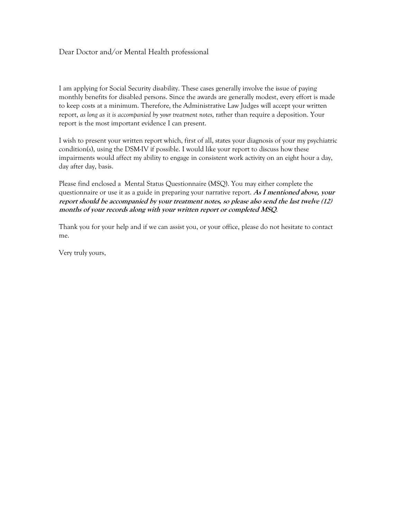## Dear Doctor and/or Mental Health professional

I am applying for Social Security disability. These cases generally involve the issue of paying monthly benefits for disabled persons. Since the awards are generally modest, every effort is made to keep costs at a minimum. Therefore, the Administrative Law Judges will accept your written report, *as long as it is accompanied by your treatment notes*, rather than require a deposition. Your report is the most important evidence I can present.

I wish to present your written report which, first of all, states your diagnosis of your my psychiatric condition(s), using the DSM-IV if possible. I would like your report to discuss how these impairments would affect my ability to engage in consistent work activity on an eight hour a day, day after day, basis.

Please find enclosed a Mental Status Questionnaire (MSQ). You may either complete the questionnaire or use it as a guide in preparing your narrative report. **As I mentioned above, your report should be accompanied by your treatment notes, so please also send the last twelve (12) months of your records along with your written report or completed MSQ**.

Thank you for your help and if we can assist you, or your office, please do not hesitate to contact me.

Very truly yours,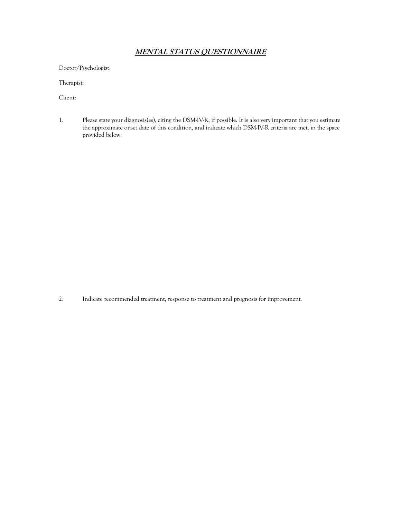# **MENTAL STATUS QUESTIONNAIRE**

Doctor/Psychologist:

Therapist:

Client:

1. Please state your diagnosis(es), citing the DSM-IV-R, if possible. It is also very important that you estimate the approximate onset date of this condition, and indicate which DSM-IV-R criteria are met, in the space provided below.

2. Indicate recommended treatment, response to treatment and prognosis for improvement.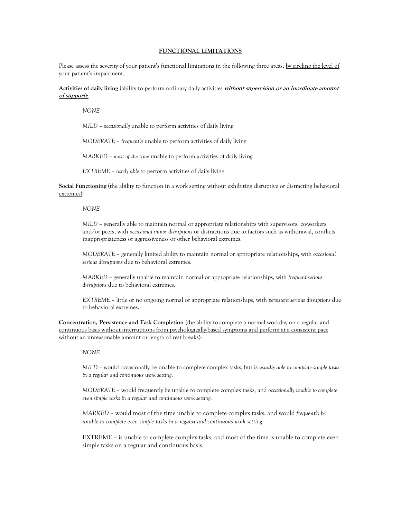#### **FUNCTIONAL LIMITATIONS**

Please assess the severity of your patient's functional limitations in the following three areas, by circling the level of your patient's impairment.

### **Activities of daily living** (ability to perform ordinary daily activities **without supervision or an inordinate amount of support**):

*NONE* 

*MILD* - *occasionally* unable to perform activities of daily living

*MODERATE* – *frequently* unable to perform activities of daily living

*MARKED* – most of the time unable to perform activities of daily living

*EXTREME* – *rarely able* to perform activities of daily living

**Social Functioning** (the ability to function in a work setting without exhibiting disruptive or distracting behavioral extremes):

*NONE* 

*MILD* - generally able to maintain normal or appropriate relationships with supervisors, co-workers and/or peers, with *occasional minor disruptions* or distractions due to factors such as withdrawal, conflicts, inappropriateness or aggressiveness or other behavioral extremes.

*MODERATE* – generally limited ability to maintain normal or appropriate relationships, with *occasional serious disruptions* due to behavioral extremes.

*MARKED* - generally unable to maintain normal or appropriate relationships, with *frequent serious disruptions* due to behavioral extremes.

*EXTREME* – little or no ongoing normal or appropriate relationships, with *persistent serious disruptions* due to behavioral extremes.

**Concentration, Persistence and Task Completion** (the ability to complete a normal workday on a regular and continuous basis without interruptions from psychologically-based symptoms and perform at a consistent pace without an unreasonable amount or length of rest breaks):

#### *NONE*

*MILD* - would occasionally be unable to complete complex tasks, but is *usually able to complete simple tasks in a regular and continuous work setting*.

*MODERATE* – would frequently be unable to complete complex tasks, and *occasionally unable to complete even simple tasks in a regular and continuous work setting*.

*MARKED* - would most of the time unable to complete complex tasks, and would *frequently be unable to complete even simple tasks in a regular and continuous work setting*.

EXTREME – is unable to complete complex tasks, and most of the time is unable to complete even simple tasks on a regular and continuous basis.